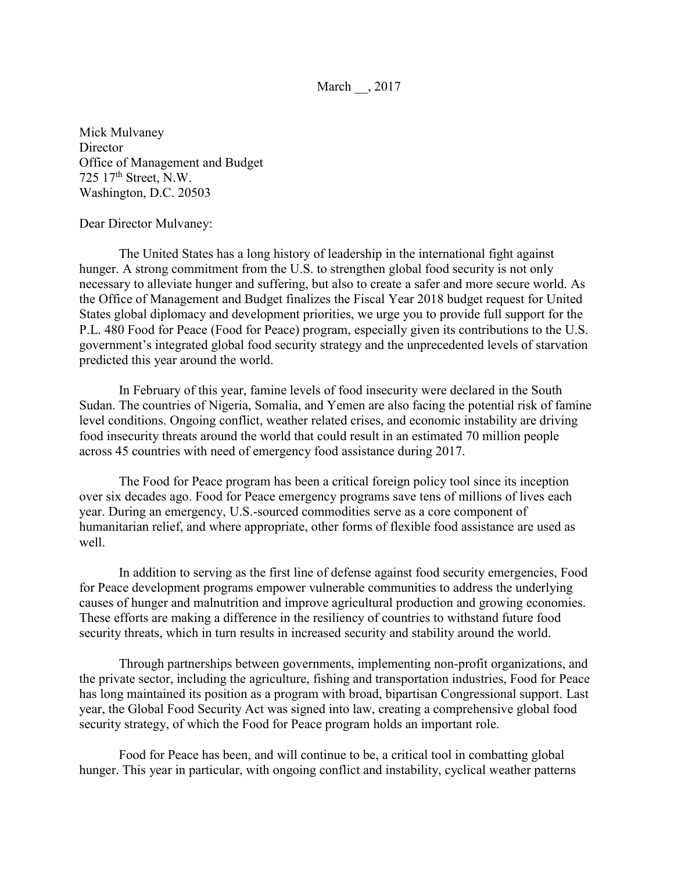March , 2017

Mick Mulvaney **Director** Office of Management and Budget 725 17th Street, N.W. Washington, D.C. 20503

Dear Director Mulvaney:

The United States has a long history of leadership in the international fight against hunger. A strong commitment from the U.S. to strengthen global food security is not only necessary to alleviate hunger and suffering, but also to create a safer and more secure world. As the Office of Management and Budget finalizes the Fiscal Year 2018 budget request for United States global diplomacy and development priorities, we urge you to provide full support for the P.L. 480 Food for Peace (Food for Peace) program, especially given its contributions to the U.S. government's integrated global food security strategy and the unprecedented levels of starvation predicted this year around the world.

In February of this year, famine levels of food insecurity were declared in the South Sudan. The countries of Nigeria, Somalia, and Yemen are also facing the potential risk of famine level conditions. Ongoing conflict, weather related crises, and economic instability are driving food insecurity threats around the world that could result in an estimated 70 million people across 45 countries with need of emergency food assistance during 2017.

The Food for Peace program has been a critical foreign policy tool since its inception over six decades ago. Food for Peace emergency programs save tens of millions of lives each year. During an emergency, U.S.-sourced commodities serve as a core component of humanitarian relief, and where appropriate, other forms of flexible food assistance are used as well.

In addition to serving as the first line of defense against food security emergencies, Food for Peace development programs empower vulnerable communities to address the underlying causes of hunger and malnutrition and improve agricultural production and growing economies. These efforts are making a difference in the resiliency of countries to withstand future food security threats, which in turn results in increased security and stability around the world.

Through partnerships between governments, implementing non-profit organizations, and the private sector, including the agriculture, fishing and transportation industries, Food for Peace has long maintained its position as a program with broad, bipartisan Congressional support. Last year, the Global Food Security Act was signed into law, creating a comprehensive global food security strategy, of which the Food for Peace program holds an important role.

Food for Peace has been, and will continue to be, a critical tool in combatting global hunger. This year in particular, with ongoing conflict and instability, cyclical weather patterns